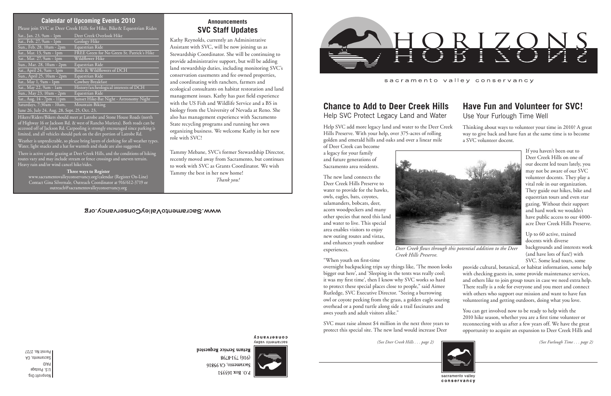Nonprofit Org. U.S. Postage PAID Sacramento, CA Permit No. 2727 *(See Deer Creek Hills . . . page 2) (See Furlough Time . . . page 2)*



conservancy

**Announcements SVC Staff Updates**

Kathy Reynolds, currently an Administrative Assistant with SVC, will be now joining us as Stewardship Coordinator. She will be continuing to provide administrative support, but will be adding land stewardship duties, including monitoring SVC's conservation easements and fee owned properties, and coordinating with ranchers, farmers and ecological consultants on habitat restoration and land management issues. Kathy has past field experience with the US Fish and Wildlife Service and a BS in biology from the University of Nevada at Reno. She also has management experience with Sacramento State recycling programs and running her own organizing business. We welcome Kathy in her new role with SVC!

Tammy Mebane, SVC's former Stewardship Director, recently moved away from Sacramento, but continues to work with SVC as Grants Coordinator. We wish Tammy the best in her new home! *Thank you!*

#### **COUSELASUCA** sacramento valley

Return Service Requested 8648-184 (916) Sacramento, CA 95816 P.O. Box 163351



sacramento valley conservancy

# **Have Fun and Volunteer for SVC!** Use Your Furlough Time Well

If you haven't been out to Deer Creek Hills on one of our docent led tours lately, you may not be aware of our SVC volunteer docents. They play a vital role in our organization. They guide our hikes, bike and equestrian tours and even star gazing. Without their support and hard work we wouldn't have public access to our 4000acre Deer Creek Hills Preserve.

Up to 60 active, trained docents with diverse backgrounds and interests work (and have lots of fun!) with SVC. Some lead tours, some

Thinking about ways to volunteer your time in 2010? A great way to give back and have fun at the same time is to become a SVC volunteer docent. Help SVC add more legacy land and water to the Deer Creek Hills Preserve. With your help, over 375-acres of rolling golden and emerald hills and oaks and over a linear mile

> provide cultural, botanical, or habitat information, some help with checking guests in, some provide maintenance services, and others like to join group tours in case we need extra help. There really is a role for everyone and you meet and connect with others who support our mission and want to have fun volunteering and getting outdoors, doing what you love.

You can get involved now to be ready to help with the 2010 hike season, whether you are a first time volunteer or reconnecting with us after a few years off. We have the great opportunity to acquire an expansion to Deer Creek Hills and

sacramento valley

Hikers/Riders/Bikers should meet at Latrobe and Stone House Roads (north of Highway 16 or Jackson Rd. & west of Rancho Murieta). Both roads can be accessed off of Jackson Rd. Carpooling is strongly encouraged since parking is limited, and all vehicles should park on the dirt portion of Latrobe Rd. Weather is unpredictable, so please bring layers of clothing for all weather types. Water, light snacks and a hat for warmth and shade are also suggested.

*Deer Creek flows through this potential addition to the Deer* 



*Creek Hills Preserve.*

# **Chance to Add to Deer Creek Hills**

Help SVC Protect Legacy Land and Water

of Deer Creek can become a legacy for your family and future generations of Sacramento area residents.

The new land connects the Deer Creek Hills Preserve to water to provide for the hawks, owls, eagles, bats, coyotes, salamanders, bobcats, deer, acorn woodpeckers and many other species that need this land and water to live. This special area enables visitors to enjoy new outing routes and vistas, and enhances youth outdoor experiences.

"When youth on first-time overnight backpacking trips say things like, 'The moon looks bigger out here', and 'Sleeping in the tents was really cool; it was my first time', then I know why SVC works so hard to protect these special places close to people," said Aimee Rutledge, SVC Executive Director. "Seeing a burrowing owl or coyote peeking from the grass, a golden eagle soaring overhead or a pond turtle along side a trail fascinates and awes youth and adult visitors alike."

SVC must raise almost \$4 million in the next three years to protect this special site. The new land would increase Deer

### **Calendar of Upcoming Events 2010**

Please join SVC at Deer Creek Hills for Hike, Bike& Equestrian Rides

| Sat., Jan. 23, 9am - 1pm                      | Deer Creek Overlook Hike                   |
|-----------------------------------------------|--------------------------------------------|
| Sat., Feb. 27, 9am - 1pm                      | Geology Hike                               |
| Sun., Feb. 28, 10am - 2pm                     | Equestrian Ride                            |
| Sat., Mar. 13, 9am - 1pm                      | FREE Green for No Green St. Patrick's Hike |
| Sat., Mar. 27, 9am - 1pm                      | Wildflower Hike                            |
| Sun., Mar. 28, 10am - 2pm                     | Equestrian Ride                            |
| Sat., April 24, 9am - 1pm                     | Birds & Wildflowers of DCH                 |
| Sun., April 25, 10am - 2pm                    | Equestrian Ride                            |
| Sat., May 1, 9am - 1pm                        | Cowboy Breakfast                           |
| Sat., May 22, 9am - 1am                       | History/archeological interests of DCH     |
| Sun., May 23, 10am - 2pm                      | Equestrian Ride                            |
| Sat., Aug. 14 - 7pm - 11pm                    | Sunset Hike-Bat Night - Astronomy Night    |
| Saturdays, 7:30am - 10am,                     | Mountain Biking                            |
| June 26, July 24, Aug. 28, Sept. 25, Oct. 23, |                                            |

There is active cattle grazing at Deer Creek Hills, and the conditions of hiking routes vary and may include stream or fence crossings and uneven terrain. Heavy rain and/or wind cancel hike/rides.

**Three ways to Register** www.sacramentovalleyconservancy.org/calendar (Register On-Line) Contact Gina Silvernale, Outreach Coordinator at 916/612-3719 or outreach@sacramentovalleyconservancy.org

## WWW.SacramentoValleyConservancy.org